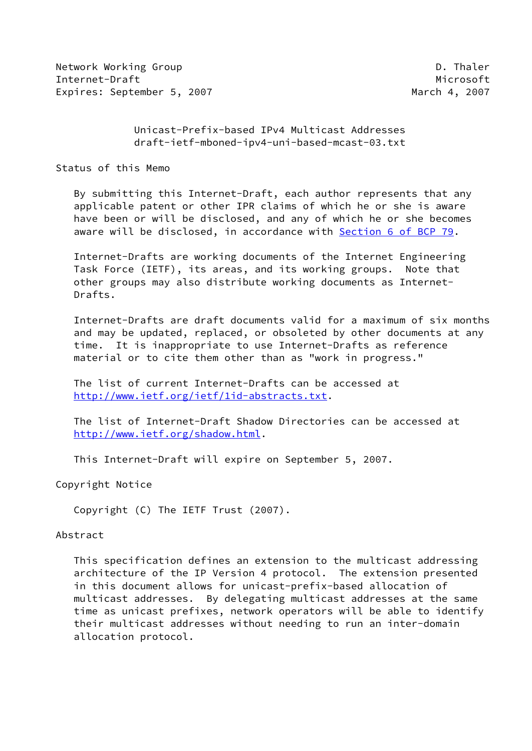Network Working Group **D. Thaler** Internet-Draft Microsoft Microsoft Microsoft Microsoft Microsoft Microsoft Microsoft Microsoft Microsoft Microsoft Microsoft Microsoft Microsoft Microsoft Microsoft Microsoft Microsoft Microsoft Microsoft Microsoft Microso Expires: September 5, 2007 and the matrix of the March 4, 2007

 Unicast-Prefix-based IPv4 Multicast Addresses draft-ietf-mboned-ipv4-uni-based-mcast-03.txt

Status of this Memo

 By submitting this Internet-Draft, each author represents that any applicable patent or other IPR claims of which he or she is aware have been or will be disclosed, and any of which he or she becomes aware will be disclosed, in accordance with Section [6 of BCP 79.](https://datatracker.ietf.org/doc/pdf/bcp79#section-6)

 Internet-Drafts are working documents of the Internet Engineering Task Force (IETF), its areas, and its working groups. Note that other groups may also distribute working documents as Internet- Drafts.

 Internet-Drafts are draft documents valid for a maximum of six months and may be updated, replaced, or obsoleted by other documents at any time. It is inappropriate to use Internet-Drafts as reference material or to cite them other than as "work in progress."

 The list of current Internet-Drafts can be accessed at <http://www.ietf.org/ietf/1id-abstracts.txt>.

 The list of Internet-Draft Shadow Directories can be accessed at <http://www.ietf.org/shadow.html>.

This Internet-Draft will expire on September 5, 2007.

Copyright Notice

Copyright (C) The IETF Trust (2007).

## Abstract

 This specification defines an extension to the multicast addressing architecture of the IP Version 4 protocol. The extension presented in this document allows for unicast-prefix-based allocation of multicast addresses. By delegating multicast addresses at the same time as unicast prefixes, network operators will be able to identify their multicast addresses without needing to run an inter-domain allocation protocol.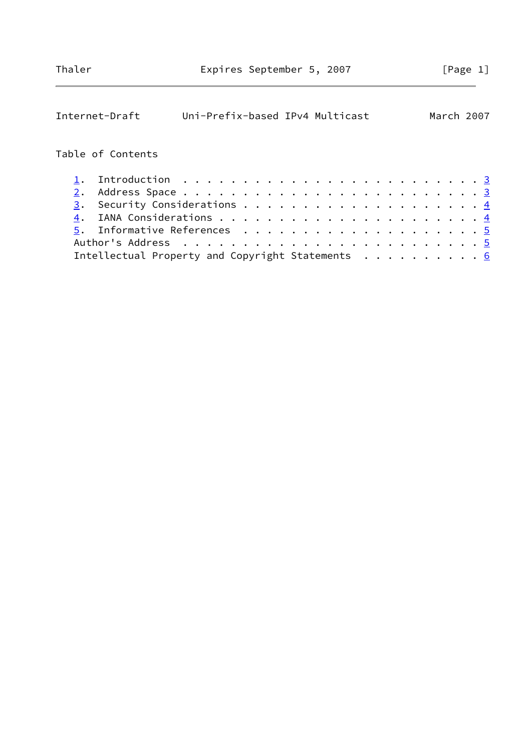| Internet-Draft                                                                       | Uni-Prefix-based IPv4 Multicast |  |  |  |  |  |  | March 2007 |
|--------------------------------------------------------------------------------------|---------------------------------|--|--|--|--|--|--|------------|
| Table of Contents                                                                    |                                 |  |  |  |  |  |  |            |
| Introduction $\ldots \ldots \ldots \ldots \ldots \ldots \ldots \ldots \ldots \ldots$ |                                 |  |  |  |  |  |  |            |
| 2.                                                                                   |                                 |  |  |  |  |  |  |            |
|                                                                                      |                                 |  |  |  |  |  |  |            |
|                                                                                      |                                 |  |  |  |  |  |  |            |
|                                                                                      |                                 |  |  |  |  |  |  |            |
|                                                                                      |                                 |  |  |  |  |  |  |            |
| Intellectual Property and Copyright Statements 6                                     |                                 |  |  |  |  |  |  |            |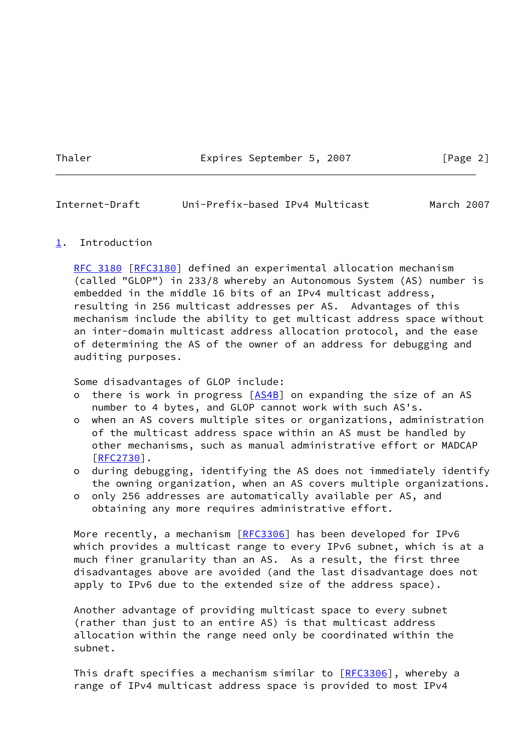Thaler **Expires September 5, 2007** [Page 2]

<span id="page-2-1"></span>Internet-Draft Uni-Prefix-based IPv4 Multicast March 2007

## <span id="page-2-0"></span>[1](#page-2-0). Introduction

[RFC 3180](https://datatracker.ietf.org/doc/pdf/rfc3180) [\[RFC3180](https://datatracker.ietf.org/doc/pdf/rfc3180)] defined an experimental allocation mechanism (called "GLOP") in 233/8 whereby an Autonomous System (AS) number is embedded in the middle 16 bits of an IPv4 multicast address, resulting in 256 multicast addresses per AS. Advantages of this mechanism include the ability to get multicast address space without an inter-domain multicast address allocation protocol, and the ease of determining the AS of the owner of an address for debugging and auditing purposes.

Some disadvantages of GLOP include:

- o there is work in progress [\[AS4B](#page-4-3)] on expanding the size of an AS number to 4 bytes, and GLOP cannot work with such AS's.
- o when an AS covers multiple sites or organizations, administration of the multicast address space within an AS must be handled by other mechanisms, such as manual administrative effort or MADCAP  $[REC2730]$ .
- o during debugging, identifying the AS does not immediately identify the owning organization, when an AS covers multiple organizations.
- o only 256 addresses are automatically available per AS, and obtaining any more requires administrative effort.

More recently, a mechanism [[RFC3306\]](https://datatracker.ietf.org/doc/pdf/rfc3306) has been developed for IPv6 which provides a multicast range to every IPv6 subnet, which is at a much finer granularity than an AS. As a result, the first three disadvantages above are avoided (and the last disadvantage does not apply to IPv6 due to the extended size of the address space).

 Another advantage of providing multicast space to every subnet (rather than just to an entire AS) is that multicast address allocation within the range need only be coordinated within the subnet.

This draft specifies a mechanism similar to [\[RFC3306](https://datatracker.ietf.org/doc/pdf/rfc3306)], whereby a range of IPv4 multicast address space is provided to most IPv4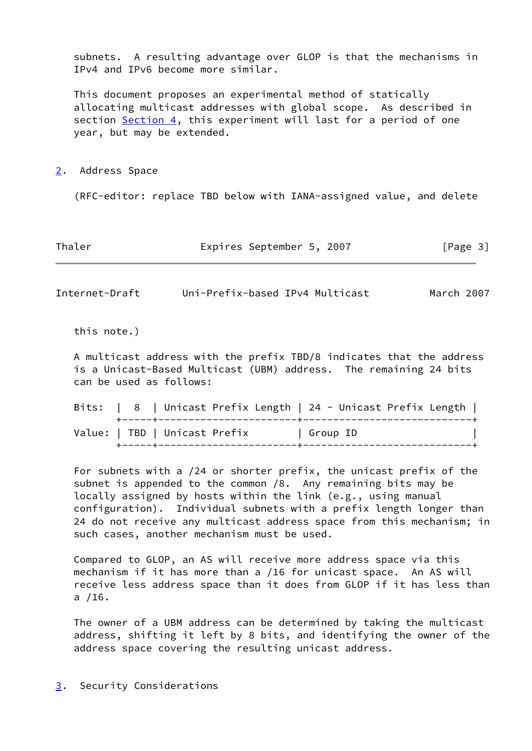subnets. A resulting advantage over GLOP is that the mechanisms in IPv4 and IPv6 become more similar.

 This document proposes an experimental method of statically allocating multicast addresses with global scope. As described in section [Section 4](#page-4-0), this experiment will last for a period of one year, but may be extended.

<span id="page-3-0"></span>[2](#page-3-0). Address Space

(RFC-editor: replace TBD below with IANA-assigned value, and delete

Thaler **Expires September 5, 2007** [Page 3]

<span id="page-3-2"></span>Internet-Draft Uni-Prefix-based IPv4 Multicast March 2007

this note.)

 A multicast address with the prefix TBD/8 indicates that the address is a Unicast-Based Multicast (UBM) address. The remaining 24 bits can be used as follows:

 Bits: | 8 | Unicast Prefix Length | 24 - Unicast Prefix Length | +-----+-----------------------+----------------------------+ Value: | TBD | Unicast Prefix | Group ID +-----+-----------------------+----------------------------+

 For subnets with a /24 or shorter prefix, the unicast prefix of the subnet is appended to the common /8. Any remaining bits may be locally assigned by hosts within the link (e.g., using manual configuration). Individual subnets with a prefix length longer than 24 do not receive any multicast address space from this mechanism; in such cases, another mechanism must be used.

 Compared to GLOP, an AS will receive more address space via this mechanism if it has more than a /16 for unicast space. An AS will receive less address space than it does from GLOP if it has less than a /16.

 The owner of a UBM address can be determined by taking the multicast address, shifting it left by 8 bits, and identifying the owner of the address space covering the resulting unicast address.

<span id="page-3-1"></span>[3](#page-3-1). Security Considerations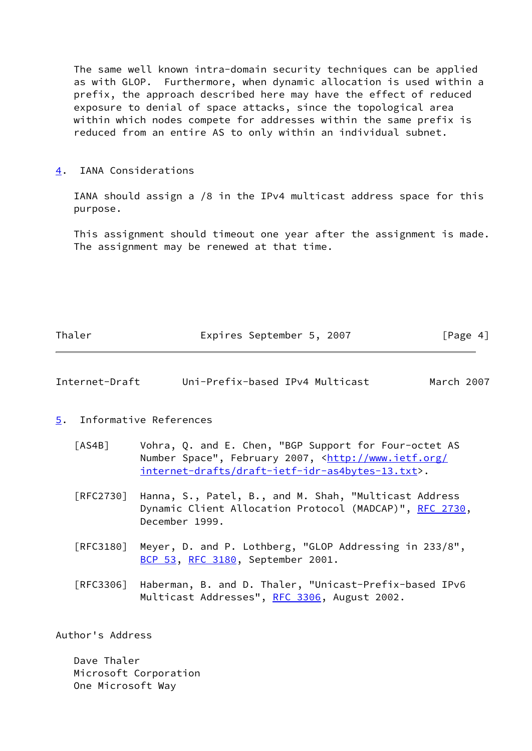The same well known intra-domain security techniques can be applied as with GLOP. Furthermore, when dynamic allocation is used within a prefix, the approach described here may have the effect of reduced exposure to denial of space attacks, since the topological area within which nodes compete for addresses within the same prefix is reduced from an entire AS to only within an individual subnet.

## <span id="page-4-0"></span>[4](#page-4-0). IANA Considerations

 IANA should assign a /8 in the IPv4 multicast address space for this purpose.

 This assignment should timeout one year after the assignment is made. The assignment may be renewed at that time.

| Thaler | Expires September 5, 2007 |  | [Page 4] |
|--------|---------------------------|--|----------|
|        |                           |  |          |

<span id="page-4-2"></span>

| Internet-Draft | Uni-Prefix-based IPv4 Multicast | March 2007 |
|----------------|---------------------------------|------------|
|----------------|---------------------------------|------------|

<span id="page-4-1"></span>[5](#page-4-1). Informative References

- <span id="page-4-3"></span> [AS4B] Vohra, Q. and E. Chen, "BGP Support for Four-octet AS Number Space", February 2007, [<http://www.ietf.org/](http://www.ietf.org/internet-drafts/draft-ietf-idr-as4bytes-13.txt) [internet-drafts/draft-ietf-idr-as4bytes-13.txt](http://www.ietf.org/internet-drafts/draft-ietf-idr-as4bytes-13.txt)>.
- [RFC2730] Hanna, S., Patel, B., and M. Shah, "Multicast Address Dynamic Client Allocation Protocol (MADCAP)", [RFC 2730](https://datatracker.ietf.org/doc/pdf/rfc2730), December 1999.
- [RFC3180] Meyer, D. and P. Lothberg, "GLOP Addressing in 233/8", [BCP 53](https://datatracker.ietf.org/doc/pdf/bcp53), [RFC 3180,](https://datatracker.ietf.org/doc/pdf/rfc3180) September 2001.

 [RFC3306] Haberman, B. and D. Thaler, "Unicast-Prefix-based IPv6 Multicast Addresses", [RFC 3306](https://datatracker.ietf.org/doc/pdf/rfc3306), August 2002.

Author's Address

 Dave Thaler Microsoft Corporation One Microsoft Way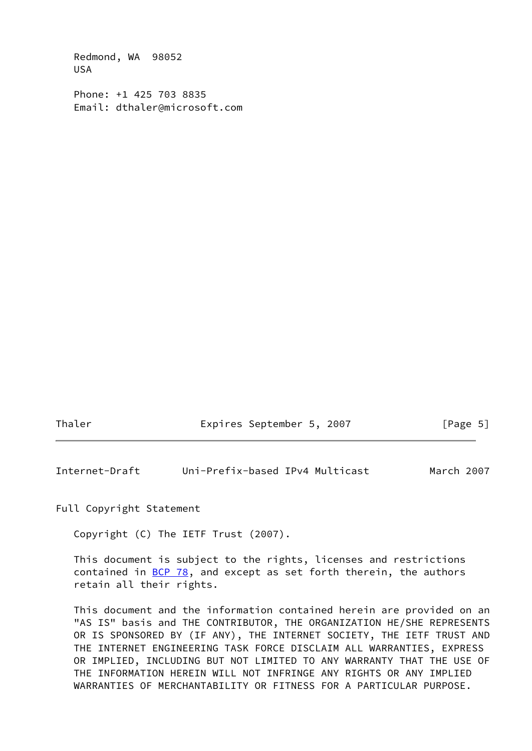Redmond, WA 98052 USA

 Phone: +1 425 703 8835 Email: dthaler@microsoft.com

Thaler Expires September 5, 2007 [Page 5]

<span id="page-5-0"></span>Internet-Draft Uni-Prefix-based IPv4 Multicast March 2007

Full Copyright Statement

Copyright (C) The IETF Trust (2007).

 This document is subject to the rights, licenses and restrictions contained in  $\underline{BCP}$  78, and except as set forth therein, the authors retain all their rights.

 This document and the information contained herein are provided on an "AS IS" basis and THE CONTRIBUTOR, THE ORGANIZATION HE/SHE REPRESENTS OR IS SPONSORED BY (IF ANY), THE INTERNET SOCIETY, THE IETF TRUST AND THE INTERNET ENGINEERING TASK FORCE DISCLAIM ALL WARRANTIES, EXPRESS OR IMPLIED, INCLUDING BUT NOT LIMITED TO ANY WARRANTY THAT THE USE OF THE INFORMATION HEREIN WILL NOT INFRINGE ANY RIGHTS OR ANY IMPLIED WARRANTIES OF MERCHANTABILITY OR FITNESS FOR A PARTICULAR PURPOSE.